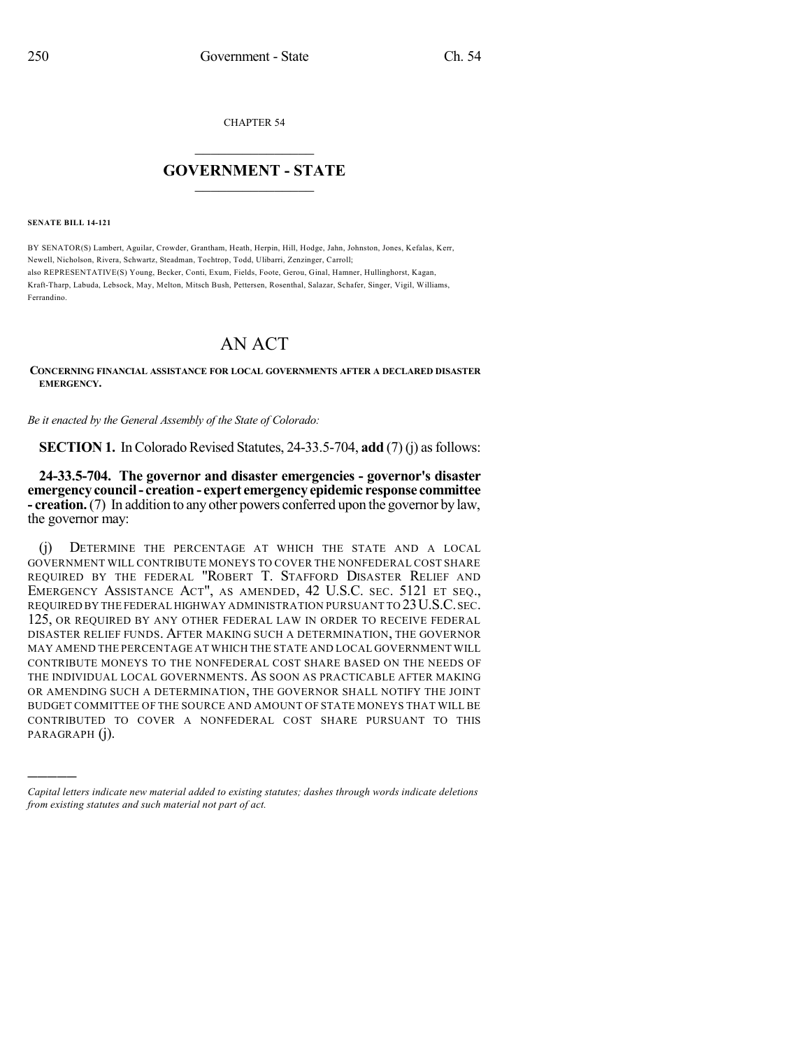CHAPTER 54

## $\overline{\phantom{a}}$  . The set of the set of the set of the set of the set of the set of the set of the set of the set of the set of the set of the set of the set of the set of the set of the set of the set of the set of the set o **GOVERNMENT - STATE**  $\_$

**SENATE BILL 14-121**

)))))

BY SENATOR(S) Lambert, Aguilar, Crowder, Grantham, Heath, Herpin, Hill, Hodge, Jahn, Johnston, Jones, Kefalas, Kerr, Newell, Nicholson, Rivera, Schwartz, Steadman, Tochtrop, Todd, Ulibarri, Zenzinger, Carroll; also REPRESENTATIVE(S) Young, Becker, Conti, Exum, Fields, Foote, Gerou, Ginal, Hamner, Hullinghorst, Kagan, Kraft-Tharp, Labuda, Lebsock, May, Melton, Mitsch Bush, Pettersen, Rosenthal, Salazar, Schafer, Singer, Vigil, Williams, Ferrandino.

## AN ACT

**CONCERNING FINANCIAL ASSISTANCE FOR LOCAL GOVERNMENTS AFTER A DECLARED DISASTER EMERGENCY.**

*Be it enacted by the General Assembly of the State of Colorado:*

**SECTION 1.** In Colorado Revised Statutes,  $24-33.5-704$ , **add** (7)(j) as follows:

**24-33.5-704. The governor and disaster emergencies - governor's disaster emergency council- creation - expert emergency epidemic response committee - creation.**(7) In addition to any other powers conferred upon the governor by law, the governor may:

(j) DETERMINE THE PERCENTAGE AT WHICH THE STATE AND A LOCAL GOVERNMENT WILL CONTRIBUTE MONEYS TO COVER THE NONFEDERAL COST SHARE REQUIRED BY THE FEDERAL "ROBERT T. STAFFORD DISASTER RELIEF AND EMERGENCY ASSISTANCE ACT", AS AMENDED, 42 U.S.C. SEC. 5121 ET SEQ., REQUIRED BY THE FEDERAL HIGHWAY ADMINISTRATION PURSUANT TO 23U.S.C.SEC. 125, OR REQUIRED BY ANY OTHER FEDERAL LAW IN ORDER TO RECEIVE FEDERAL DISASTER RELIEF FUNDS. AFTER MAKING SUCH A DETERMINATION, THE GOVERNOR MAY AMEND THE PERCENTAGE AT WHICH THE STATE AND LOCAL GOVERNMENT WILL CONTRIBUTE MONEYS TO THE NONFEDERAL COST SHARE BASED ON THE NEEDS OF THE INDIVIDUAL LOCAL GOVERNMENTS. AS SOON AS PRACTICABLE AFTER MAKING OR AMENDING SUCH A DETERMINATION, THE GOVERNOR SHALL NOTIFY THE JOINT BUDGET COMMITTEE OF THE SOURCE AND AMOUNT OF STATE MONEYS THAT WILL BE CONTRIBUTED TO COVER A NONFEDERAL COST SHARE PURSUANT TO THIS PARAGRAPH (j).

*Capital letters indicate new material added to existing statutes; dashes through words indicate deletions from existing statutes and such material not part of act.*